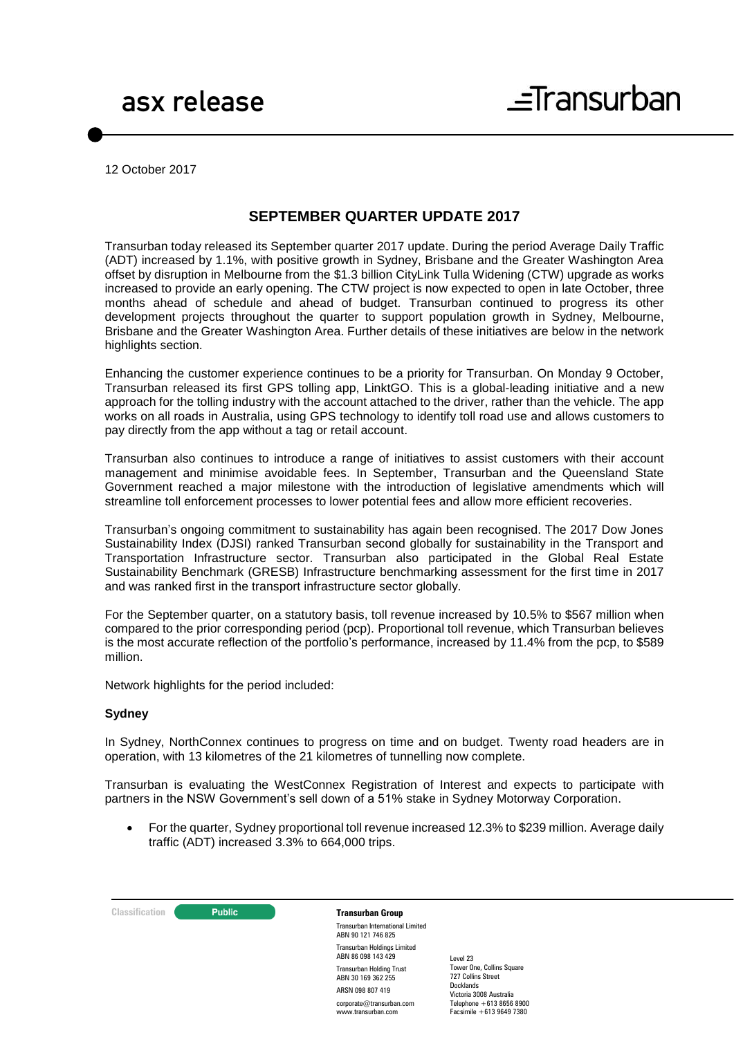12 October 2017

#### **SEPTEMBER QUARTER UPDATE 2017**

Transurban today released its September quarter 2017 update. During the period Average Daily Traffic (ADT) increased by 1.1%, with positive growth in Sydney, Brisbane and the Greater Washington Area offset by disruption in Melbourne from the \$1.3 billion CityLink Tulla Widening (CTW) upgrade as works increased to provide an early opening. The CTW project is now expected to open in late October, three months ahead of schedule and ahead of budget. Transurban continued to progress its other development projects throughout the quarter to support population growth in Sydney, Melbourne, Brisbane and the Greater Washington Area. Further details of these initiatives are below in the network highlights section.

Enhancing the customer experience continues to be a priority for Transurban. On Monday 9 October, Transurban released its first GPS tolling app, LinktGO. This is a global-leading initiative and a new approach for the tolling industry with the account attached to the driver, rather than the vehicle. The app works on all roads in Australia, using GPS technology to identify toll road use and allows customers to pay directly from the app without a tag or retail account.

Transurban also continues to introduce a range of initiatives to assist customers with their account management and minimise avoidable fees. In September, Transurban and the Queensland State Government reached a major milestone with the introduction of legislative amendments which will streamline toll enforcement processes to lower potential fees and allow more efficient recoveries.

Transurban's ongoing commitment to sustainability has again been recognised. The 2017 Dow Jones Sustainability Index (DJSI) ranked Transurban second globally for sustainability in the Transport and Transportation Infrastructure sector. Transurban also participated in the Global Real Estate Sustainability Benchmark (GRESB) Infrastructure benchmarking assessment for the first time in 2017 and was ranked first in the transport infrastructure sector globally.

For the September quarter, on a statutory basis, toll revenue increased by 10.5% to \$567 million when compared to the prior corresponding period (pcp). Proportional toll revenue, which Transurban believes is the most accurate reflection of the portfolio's performance, increased by 11.4% from the pcp, to \$589 million.

Network highlights for the period included:

#### **Sydney**

In Sydney, NorthConnex continues to progress on time and on budget. Twenty road headers are in operation, with 13 kilometres of the 21 kilometres of tunnelling now complete.

Transurban is evaluating the WestConnex Registration of Interest and expects to participate with partners in the NSW Government's sell down of a 51% stake in Sydney Motorway Corporation.

 For the quarter, Sydney proportional toll revenue increased 12.3% to \$239 million. Average daily traffic (ADT) increased 3.3% to 664,000 trips.

**Classification C Public Transurban Group** 

Transurban International Limited ABN 90 121 746 825 Transurban Holdings Limited ABN 86 098 143 429 Transurban Holding Trust ABN 30 169 362 255 ARSN 098 807 419 corporate@transurban.com www.transurban.com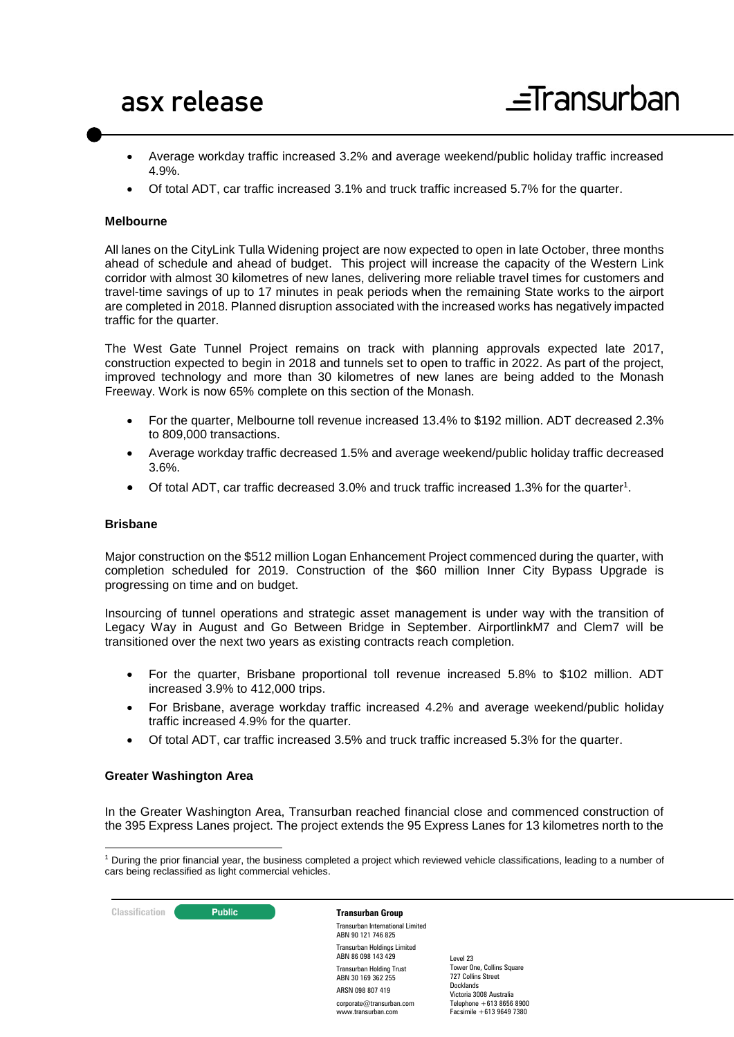- Average workday traffic increased 3.2% and average weekend/public holiday traffic increased 4.9%.
- Of total ADT, car traffic increased 3.1% and truck traffic increased 5.7% for the quarter.

#### **Melbourne**

All lanes on the CityLink Tulla Widening project are now expected to open in late October, three months ahead of schedule and ahead of budget. This project will increase the capacity of the Western Link corridor with almost 30 kilometres of new lanes, delivering more reliable travel times for customers and travel-time savings of up to 17 minutes in peak periods when the remaining State works to the airport are completed in 2018. Planned disruption associated with the increased works has negatively impacted traffic for the quarter.

The West Gate Tunnel Project remains on track with planning approvals expected late 2017, construction expected to begin in 2018 and tunnels set to open to traffic in 2022. As part of the project, improved technology and more than 30 kilometres of new lanes are being added to the Monash Freeway. Work is now 65% complete on this section of the Monash.

- For the quarter, Melbourne toll revenue increased 13.4% to \$192 million. ADT decreased 2.3% to 809,000 transactions.
- Average workday traffic decreased 1.5% and average weekend/public holiday traffic decreased 3.6%.
- Of total ADT, car traffic decreased 3.0% and truck traffic increased 1.3% for the quarter<sup>1</sup>.

#### **Brisbane**

Major construction on the \$512 million Logan Enhancement Project commenced during the quarter, with completion scheduled for 2019. Construction of the \$60 million Inner City Bypass Upgrade is progressing on time and on budget.

Insourcing of tunnel operations and strategic asset management is under way with the transition of Legacy Way in August and Go Between Bridge in September. AirportlinkM7 and Clem7 will be transitioned over the next two years as existing contracts reach completion.

- For the quarter, Brisbane proportional toll revenue increased 5.8% to \$102 million. ADT increased 3.9% to 412,000 trips.
- For Brisbane, average workday traffic increased 4.2% and average weekend/public holiday traffic increased 4.9% for the quarter.
- Of total ADT, car traffic increased 3.5% and truck traffic increased 5.3% for the quarter.

#### **Greater Washington Area**

In the Greater Washington Area, Transurban reached financial close and commenced construction of the 395 Express Lanes project. The project extends the 95 Express Lanes for 13 kilometres north to the

corporate@transurban.com www.transurban.com



<sup>1</sup> <sup>1</sup> During the prior financial year, the business completed a project which reviewed vehicle classifications, leading to a number of cars being reclassified as light commercial vehicles.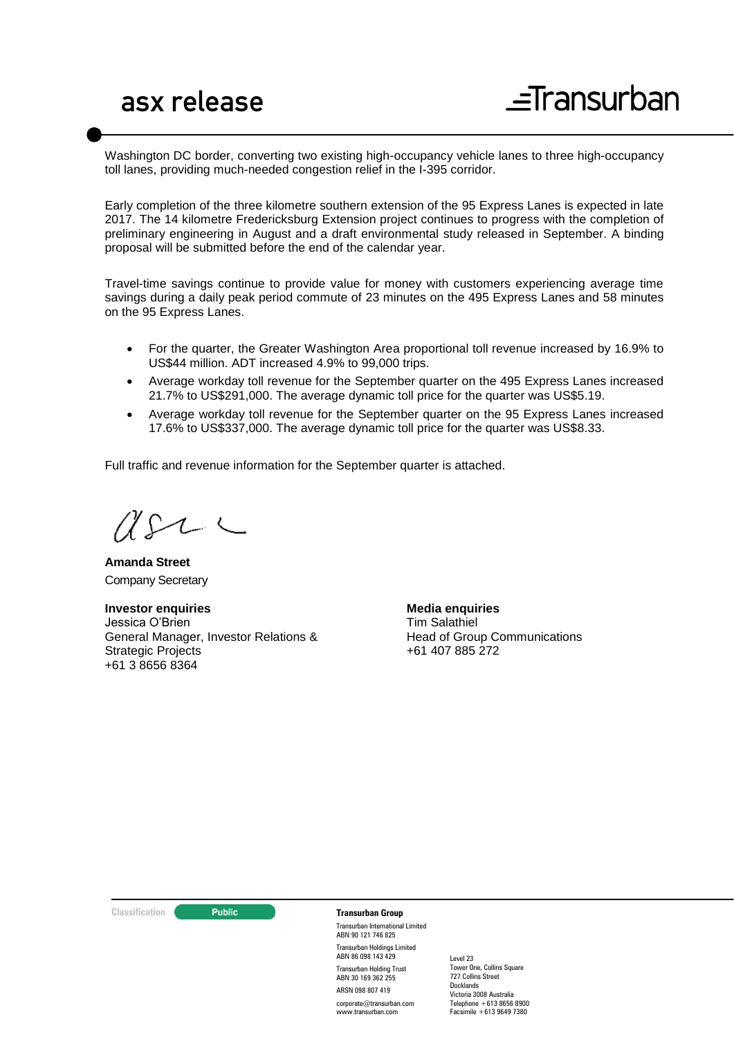Washington DC border, converting two existing high-occupancy vehicle lanes to three high-occupancy toll lanes, providing much-needed congestion relief in the I-395 corridor.

Early completion of the three kilometre southern extension of the 95 Express Lanes is expected in late 2017. The 14 kilometre Fredericksburg Extension project continues to progress with the completion of preliminary engineering in August and a draft environmental study released in September. A binding proposal will be submitted before the end of the calendar year.

Travel-time savings continue to provide value for money with customers experiencing average time savings during a daily peak period commute of 23 minutes on the 495 Express Lanes and 58 minutes on the 95 Express Lanes.

- For the quarter, the Greater Washington Area proportional toll revenue increased by 16.9% to US\$44 million. ADT increased 4.9% to 99,000 trips.
- Average workday toll revenue for the September quarter on the 495 Express Lanes increased 21.7% to US\$291,000. The average dynamic toll price for the quarter was US\$5.19.
- Average workday toll revenue for the September quarter on the 95 Express Lanes increased 17.6% to US\$337,000. The average dynamic toll price for the quarter was US\$8.33.

Full traffic and revenue information for the September quarter is attached.

 $\Delta\Omega$  $\overline{\phantom{a}}$ 

**Amanda Street** Company Secretary

**Investor enquiries** Jessica O'Brien General Manager, Investor Relations & Strategic Projects +61 3 8656 8364

**Media enquiries** Tim Salathiel Head of Group Communications +61 407 885 272

**Classification C Public Transurban Group** 

Transurban International Limited ABN 90 121 746 825 Transurban Holdings Limited ABN 86 098 143 429 Transurban Holding Trust ABN 30 169 362 255 ARSN 098 807 419 corporate@transurban.com www.transurban.com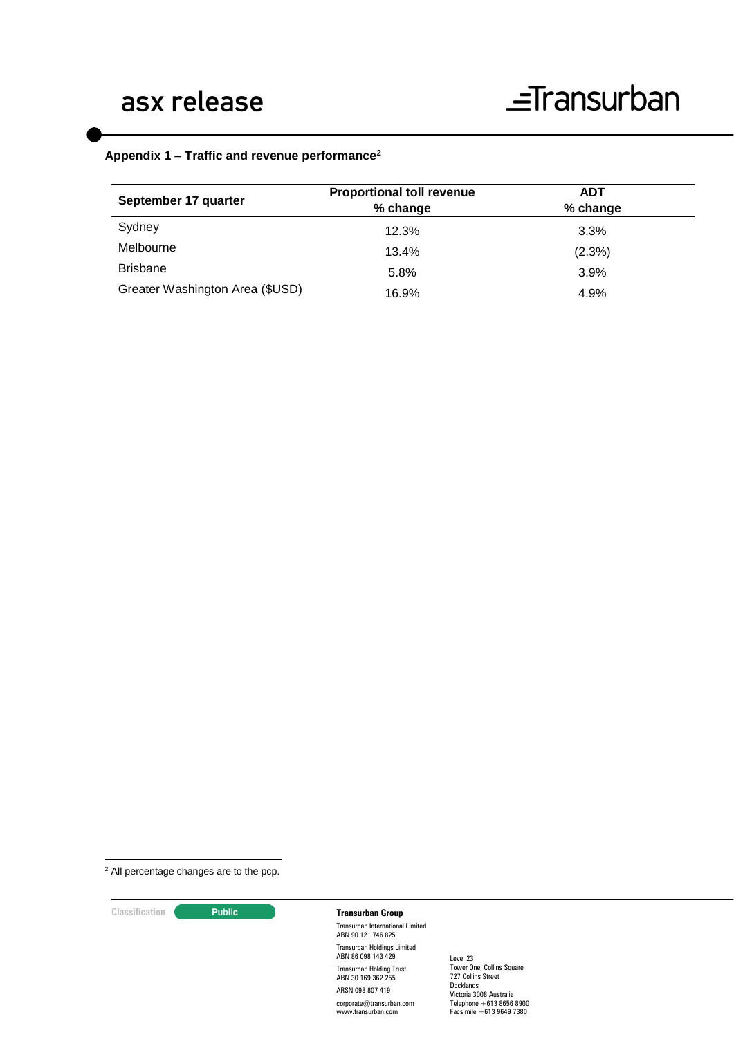#### **Appendix 1 – Traffic and revenue performance<sup>2</sup>**

| September 17 quarter            | <b>Proportional toll revenue</b><br>% change | <b>ADT</b><br>% change |
|---------------------------------|----------------------------------------------|------------------------|
| Sydney                          | 12.3%                                        | 3.3%                   |
| Melbourne                       | 13.4%                                        | (2.3%)                 |
| <b>Brisbane</b>                 | 5.8%                                         | 3.9%                   |
| Greater Washington Area (\$USD) | 16.9%                                        | 4.9%                   |

<sup>2</sup> All percentage changes are to the pcp.

<u>.</u>

#### **Classification Constitution Transurban Group**

Transurban International Limited ABN 90 121 746 825 Transurban Holdings Limited ABN 86 098 143 429 Transurban Holding Trust ABN 30 169 362 255 ARSN 098 807 419 corporate@transurban.com www.transurban.com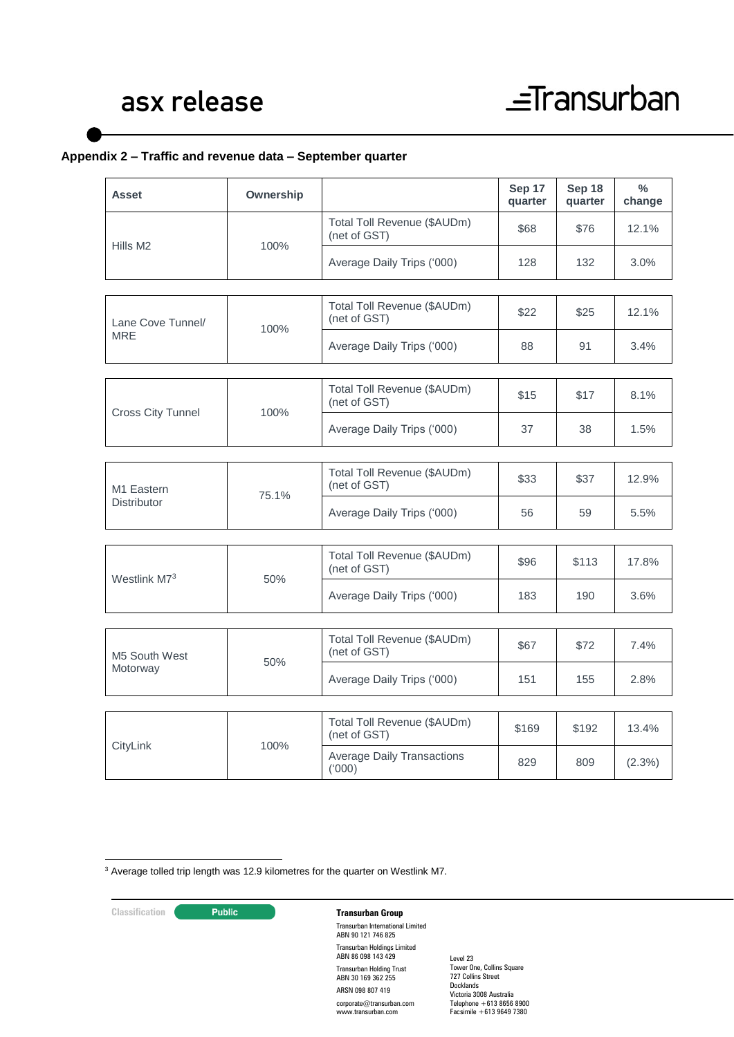#### **Appendix 2 – Traffic and revenue data – September quarter**

| <b>Asset</b>                                 | Ownership |                                             | Sep 17<br>quarter | Sep 18<br>quarter | $\frac{0}{0}$<br>change |
|----------------------------------------------|-----------|---------------------------------------------|-------------------|-------------------|-------------------------|
| Hills M <sub>2</sub>                         | 100%      | Total Toll Revenue (\$AUDm)<br>(net of GST) | \$68              | \$76              | 12.1%                   |
|                                              |           | Average Daily Trips ('000)                  | 128               | 132               | 3.0%                    |
| Lane Cove Tunnel/<br><b>MRE</b>              | 100%      | Total Toll Revenue (\$AUDm)<br>(net of GST) | \$22              | \$25              | 12.1%                   |
|                                              |           | Average Daily Trips ('000)                  | 88                | 91                | 3.4%                    |
|                                              |           |                                             |                   |                   |                         |
| <b>Cross City Tunnel</b>                     | 100%      | Total Toll Revenue (\$AUDm)<br>(net of GST) | \$15              | \$17              | 8.1%                    |
|                                              |           | Average Daily Trips ('000)                  | 37                | 38                | 1.5%                    |
|                                              |           |                                             |                   |                   |                         |
| M <sub>1</sub> Eastern<br><b>Distributor</b> | 75.1%     | Total Toll Revenue (\$AUDm)<br>(net of GST) | \$33              | \$37              | 12.9%                   |
|                                              |           | Average Daily Trips ('000)                  | 56                | 59                | 5.5%                    |
|                                              |           |                                             |                   |                   |                         |
| Westlink M73                                 | 50%       | Total Toll Revenue (\$AUDm)<br>(net of GST) | \$96              | \$113             | 17.8%                   |
|                                              |           | Average Daily Trips ('000)                  | 183               | 190               | 3.6%                    |
|                                              |           |                                             |                   |                   |                         |
| M5 South West<br>Motorway                    | 50%       | Total Toll Revenue (\$AUDm)<br>(net of GST) | \$67              | \$72              | 7.4%                    |
|                                              |           | Average Daily Trips ('000)                  | 151               | 155               | 2.8%                    |
|                                              |           |                                             |                   |                   |                         |
| CityLink                                     | 100%      | Total Toll Revenue (\$AUDm)<br>(net of GST) | \$169             | \$192             | 13.4%                   |
|                                              |           | <b>Average Daily Transactions</b><br>(000)  | 829               | 809               | (2.3%)                  |
|                                              |           |                                             |                   |                   |                         |

<sup>3</sup> Average tolled trip length was 12.9 kilometres for the quarter on Westlink M7.

<u>.</u>

### **Classification Constitution Transurban Group**

Transurban International Limited ABN 90 121 746 825 Transurban Holdings Limited ABN 86 098 143 429 Transurban Holding Trust ABN 30 169 362 255 ARSN 098 807 419 corporate@transurban.com www.transurban.com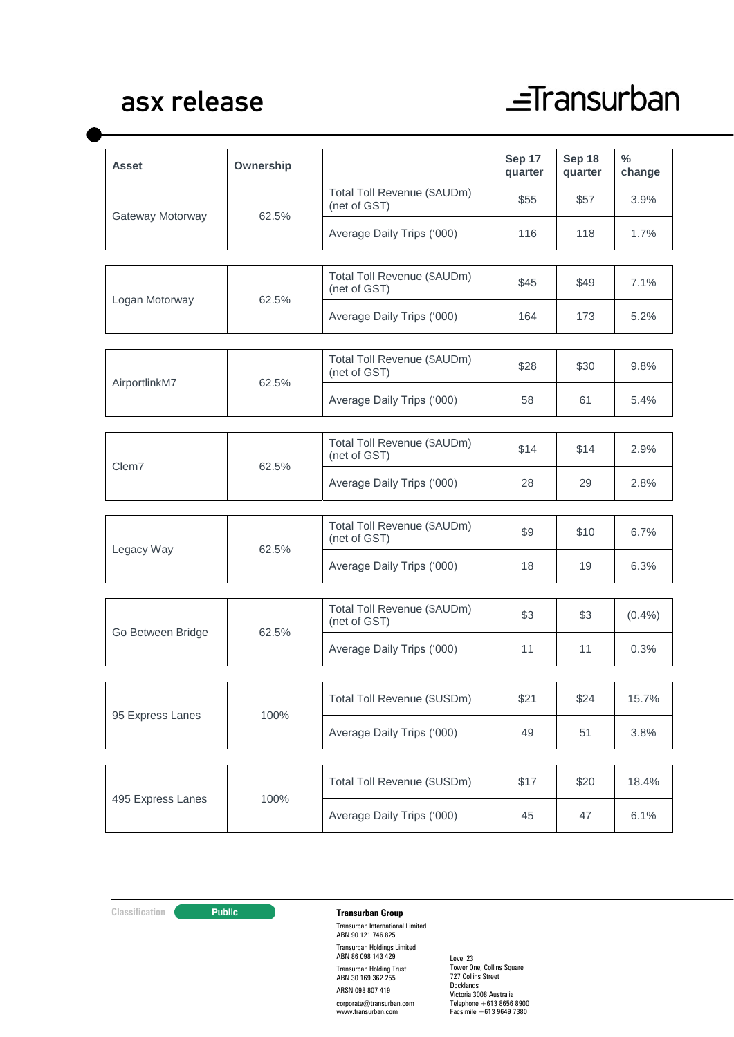### asx release

# $\equiv$ Transurban

| <b>Asset</b>      | Ownership |                                             | Sep 17<br>quarter | Sep 18<br>quarter | $\%$<br>change |
|-------------------|-----------|---------------------------------------------|-------------------|-------------------|----------------|
| Gateway Motorway  | 62.5%     | Total Toll Revenue (\$AUDm)<br>(net of GST) | \$55              | \$57              | 3.9%           |
|                   |           | Average Daily Trips ('000)                  | 116               | 118               | 1.7%           |
|                   | 62.5%     | Total Toll Revenue (\$AUDm)                 | \$45              | \$49              | 7.1%           |
| Logan Motorway    |           | (net of GST)                                |                   |                   |                |
|                   |           | Average Daily Trips ('000)                  | 164               | 173               | 5.2%           |
| AirportlinkM7     | 62.5%     | Total Toll Revenue (\$AUDm)<br>(net of GST) | \$28              | \$30              | 9.8%           |
|                   |           | Average Daily Trips ('000)                  | 58                | 61                | 5.4%           |
| Clem7             | 62.5%     | Total Toll Revenue (\$AUDm)<br>(net of GST) | \$14              | \$14              | 2.9%           |
|                   |           | Average Daily Trips ('000)                  | 28                | 29                | 2.8%           |
|                   |           | Total Toll Revenue (\$AUDm)                 |                   |                   |                |
| Legacy Way        | 62.5%     | (net of GST)                                | \$9               | \$10              | 6.7%           |
|                   |           | Average Daily Trips ('000)                  | 18                | 19                | 6.3%           |
| Go Between Bridge | 62.5%     | Total Toll Revenue (\$AUDm)<br>(net of GST) | \$3               | \$3               | $(0.4\%)$      |
|                   |           | Average Daily Trips ('000)                  | 11                | 11                | 0.3%           |
|                   |           |                                             |                   |                   |                |
| 95 Express Lanes  | 100%      | Total Toll Revenue (\$USDm)                 | \$21              | \$24              | 15.7%          |
|                   |           | Average Daily Trips ('000)                  | 49                | 51                | 3.8%           |
| 495 Express Lanes | 100%      | Total Toll Revenue (\$USDm)                 | \$17              | \$20              | 18.4%          |
|                   |           | Average Daily Trips ('000)                  | 45                | 47                | 6.1%           |

**Classification Constitution Transurban Group** Transurban International Limited ABN 90 121 746 825 Transurban Holdings Limited ABN 86 098 143 429 Transurban Holding Trust ABN 30 169 362 255 ARSN 098 807 419 corporate@transurban.com www.transurban.com